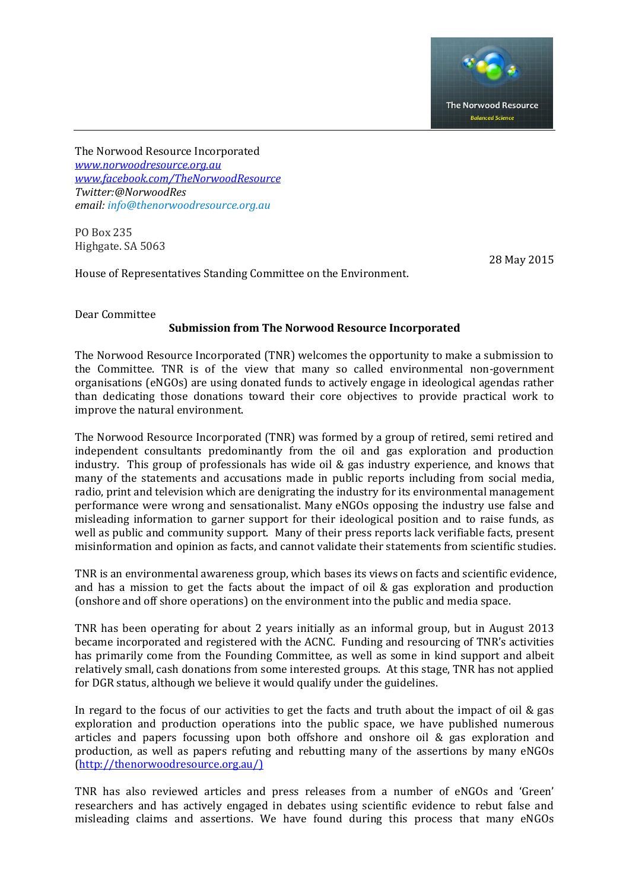

The Norwood Resource Incorporated *[www.norwoodresource.org.au](http://www.norwoodresource.org.au/) [www.facebook.com/TheNorwoodResource](http://www.facebook.com/TheNorwoodResource) Twitter:@NorwoodRes email[: info@thenorwoodresource.org.au](mailto:info@thenorwoodresource.org.au)*

PO Box 235 Highgate. SA 5063

28 May 2015

House of Representatives Standing Committee on the Environment.

### Dear Committee

# **Submission from The Norwood Resource Incorporated**

The Norwood Resource Incorporated (TNR) welcomes the opportunity to make a submission to the Committee. TNR is of the view that many so called environmental non-government organisations (eNGOs) are using donated funds to actively engage in ideological agendas rather than dedicating those donations toward their core objectives to provide practical work to improve the natural environment.

The Norwood Resource Incorporated (TNR) was formed by a group of retired, semi retired and independent consultants predominantly from the oil and gas exploration and production industry. This group of professionals has wide oil & gas industry experience, and knows that many of the statements and accusations made in public reports including from social media, radio, print and television which are denigrating the industry for its environmental management performance were wrong and sensationalist. Many eNGOs opposing the industry use false and misleading information to garner support for their ideological position and to raise funds, as well as public and community support. Many of their press reports lack verifiable facts, present misinformation and opinion as facts, and cannot validate their statements from scientific studies.

TNR is an environmental awareness group, which bases its views on facts and scientific evidence, and has a mission to get the facts about the impact of oil & gas exploration and production (onshore and off shore operations) on the environment into the public and media space.

TNR has been operating for about 2 years initially as an informal group, but in August 2013 became incorporated and registered with the ACNC. Funding and resourcing of TNR's activities has primarily come from the Founding Committee, as well as some in kind support and albeit relatively small, cash donations from some interested groups. At this stage, TNR has not applied for DGR status, although we believe it would qualify under the guidelines.

In regard to the focus of our activities to get the facts and truth about the impact of oil & gas exploration and production operations into the public space, we have published numerous articles and papers focussing upon both offshore and onshore oil & gas exploration and production, as well as papers refuting and rebutting many of the assertions by many eNGOs [\(http://thenorwoodresource.org.au/\)](http://thenorwoodresource.org.au/)

TNR has also reviewed articles and press releases from a number of eNGOs and 'Green' researchers and has actively engaged in debates using scientific evidence to rebut false and misleading claims and assertions. We have found during this process that many eNGOs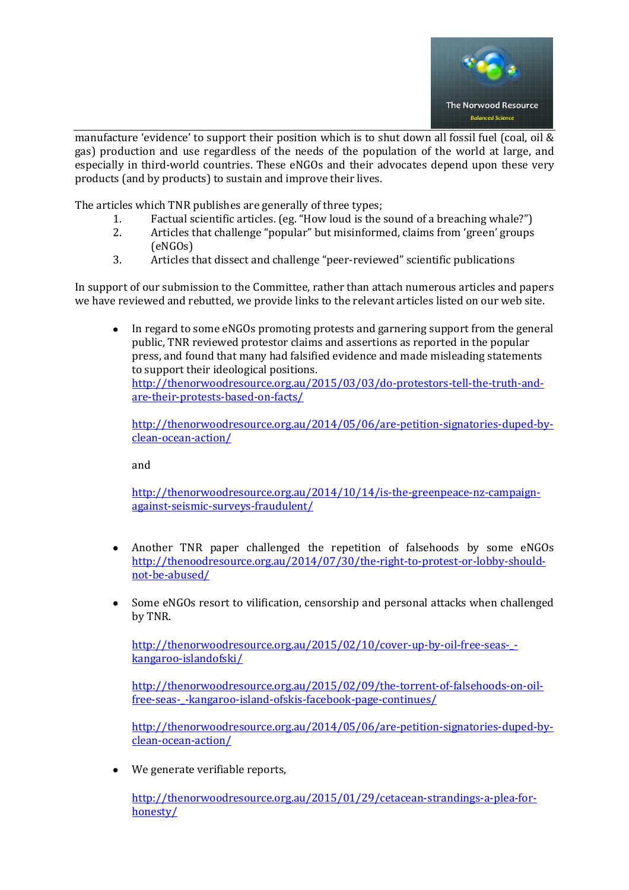

manufacture 'evidence' to support their position which is to shut down all fossil fuel (coal, oil & gas) production and use regardless of the needs of the population of the world at large, and especially in third-world countries. These eNGOs and their advocates depend upon these very products (and by products) to sustain and improve their lives.

The articles which TNR publishes are generally of three types;

- 1. Factual scientific articles. (eg. "How loud is the sound of a breaching whale?")
- 2. Articles that challenge "popular" but misinformed, claims from 'green' groups (eNGOs)
- 3. Articles that dissect and challenge "peer-reviewed" scientific publications

In support of our submission to the Committee, rather than attach numerous articles and papers we have reviewed and rebutted, we provide links to the relevant articles listed on our web site.

In regard to some eNGOs promoting protests and garnering support from the general public, TNR reviewed protestor claims and assertions as reported in the popular press, and found that many had falsified evidence and made misleading statements to support their ideological positions. [http://thenorwoodresource.org.au/2015/03/03/do-protestors-tell-the-truth-and](http://thenorwoodresource.org.au/2015/03/03/do-protestors-tell-the-truth-and-are-their-protests-based-on-facts/)[are-their-protests-based-on-facts/](http://thenorwoodresource.org.au/2015/03/03/do-protestors-tell-the-truth-and-are-their-protests-based-on-facts/) 

[http://thenorwoodresource.org.au/2014/05/06/are-petition-signatories-duped-by](http://thenorwoodresource.org.au/2014/05/06/are-petition-signatories-duped-by-clean-ocean-action/)[clean-ocean-action/](http://thenorwoodresource.org.au/2014/05/06/are-petition-signatories-duped-by-clean-ocean-action/) 

and

[http://thenorwoodresource.org.au/2014/10/14/is-the-greenpeace-nz-campaign](http://thenorwoodresource.org.au/2014/10/14/is-the-greenpeace-nz-campaign-against-seismic-surveys-fraudulent/)[against-seismic-surveys-fraudulent/](http://thenorwoodresource.org.au/2014/10/14/is-the-greenpeace-nz-campaign-against-seismic-surveys-fraudulent/)

- Another TNR paper challenged the repetition of falsehoods by some eNGOs  $\bullet$ [http://thenoodresource.org.au/2014/07/30/the-right-to-protest-or-lobby-should](http://thenorwoodresource.org.au/2014/07/30/the-right-to-protest-or-lobby-should-not-be-abused/)[not-be-abused/](http://thenorwoodresource.org.au/2014/07/30/the-right-to-protest-or-lobby-should-not-be-abused/)
- $\bullet$ Some eNGOs resort to vilification, censorship and personal attacks when challenged by TNR.

http://thenorwoodresource.org.au/2015/02/10/cover-up-by-oil-free-seas-[kangaroo-islandofski/](http://thenorwoodresource.org.au/2015/02/10/cover-up-by-oil-free-seas-_-kangaroo-islandofski/)

[http://thenorwoodresource.org.au/2015/02/09/the-torrent-of-falsehoods-on-oil](http://thenorwoodresource.org.au/2015/02/09/the-torrent-of-falsehoods-on-oil-free-seas-_-kangaroo-island-ofskis-facebook-page-continues/)[free-seas-\\_-kangaroo-island-ofskis-facebook-page-continues/](http://thenorwoodresource.org.au/2015/02/09/the-torrent-of-falsehoods-on-oil-free-seas-_-kangaroo-island-ofskis-facebook-page-continues/)

[http://thenorwoodresource.org.au/2014/05/06/are-petition-signatories-duped-by](http://thenorwoodresource.org.au/2014/05/06/are-petition-signatories-duped-by-clean-ocean-action/)[clean-ocean-action/](http://thenorwoodresource.org.au/2014/05/06/are-petition-signatories-duped-by-clean-ocean-action/)

We generate verifiable reports,

[http://thenorwoodresource.org.au/2015/01/29/cetacean-strandings-a-plea-for](http://thenorwoodresource.org.au/2015/01/29/cetacean-strandings-a-plea-for-honesty/)[honesty/](http://thenorwoodresource.org.au/2015/01/29/cetacean-strandings-a-plea-for-honesty/)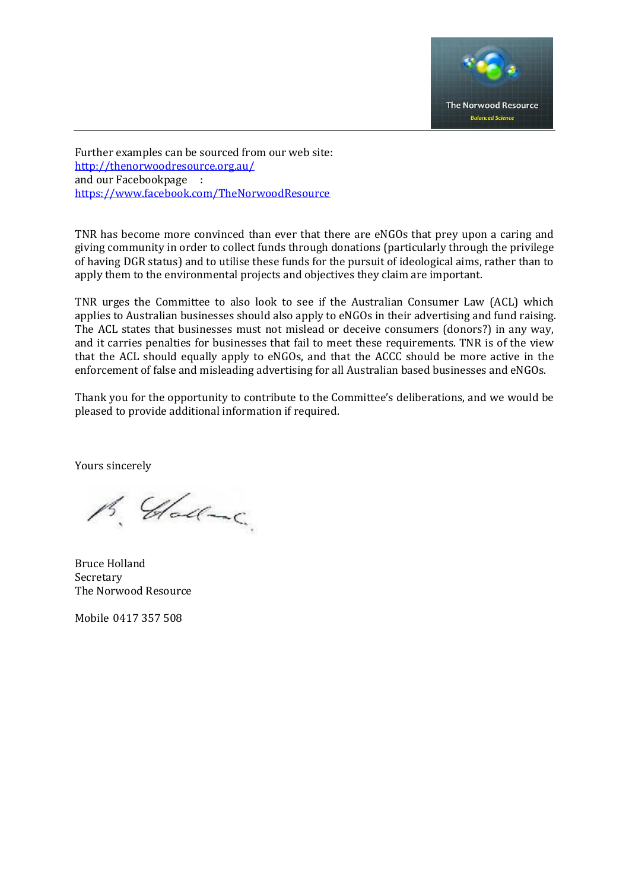

Further examples can be sourced from our web site: <http://thenorwoodresource.org.au/> and our Facebookpage : <https://www.facebook.com/TheNorwoodResource>

TNR has become more convinced than ever that there are eNGOs that prey upon a caring and giving community in order to collect funds through donations (particularly through the privilege of having DGR status) and to utilise these funds for the pursuit of ideological aims, rather than to apply them to the environmental projects and objectives they claim are important.

TNR urges the Committee to also look to see if the Australian Consumer Law (ACL) which applies to Australian businesses should also apply to eNGOs in their advertising and fund raising. The ACL states that businesses must not mislead or deceive consumers (donors?) in any way, and it carries penalties for businesses that fail to meet these requirements. TNR is of the view that the ACL should equally apply to eNGOs, and that the ACCC should be more active in the enforcement of false and misleading advertising for all Australian based businesses and eNGOs.

Thank you for the opportunity to contribute to the Committee's deliberations, and we would be pleased to provide additional information if required.

Yours sincerely

B. Clade

Bruce Holland Secretary The Norwood Resource

Mobile 0417 357 508